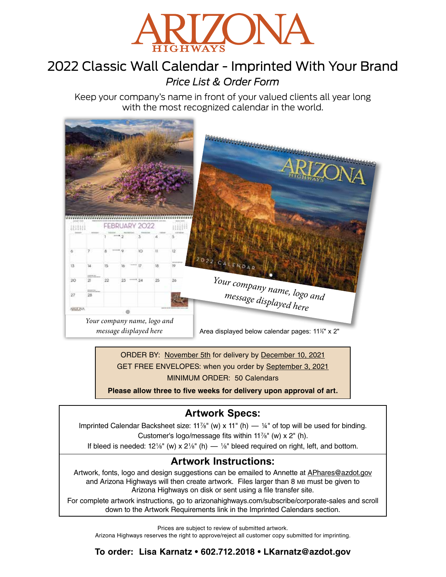

# 2022 Classic Wall Calendar - Imprinted With Your Brand *Price List & Order Form*

Keep your company's name in front of your valued clients all year long with the most recognized calendar in the world.



ORDER BY: November 5th for delivery by December 10, 2021 GET FREE ENVELOPES: when you order by September 3, 2021 MINIMUM ORDER: 50 Calendars

**Please allow three to five weeks for delivery upon approval of art.**

# **Artwork Specs:**

Imprinted Calendar Backsheet size: 11%" (w) x 11" (h) — 14" of top will be used for binding. Customer's logo/message fits within 117 ⁄8" (w) x 2" (h).

If bleed is needed:  $12\frac{1}{8}$ " (w) x  $2\frac{1}{8}$ " (h)  $\frac{1}{8}$ " bleed required on right, left, and bottom.

## **Artwork Instructions:**

Artwork, fonts, logo and design suggestions can be emailed to Annette at APhares@azdot.gov and Arizona Highways will then create artwork. Files larger than 8 MB must be given to Arizona Highways on disk or sent using a file transfer site.

For complete artwork instructions, go to arizonahighways.com/subscribe/corporate-sales and scroll down to the Artwork Requirements link in the Imprinted Calendars section.

Prices are subject to review of submitted artwork. Arizona Highways reserves the right to approve/reject all customer copy submitted for imprinting.

**To order: Lisa Karnatz • 602.712.2018 • LKarnatz@azdot.gov**